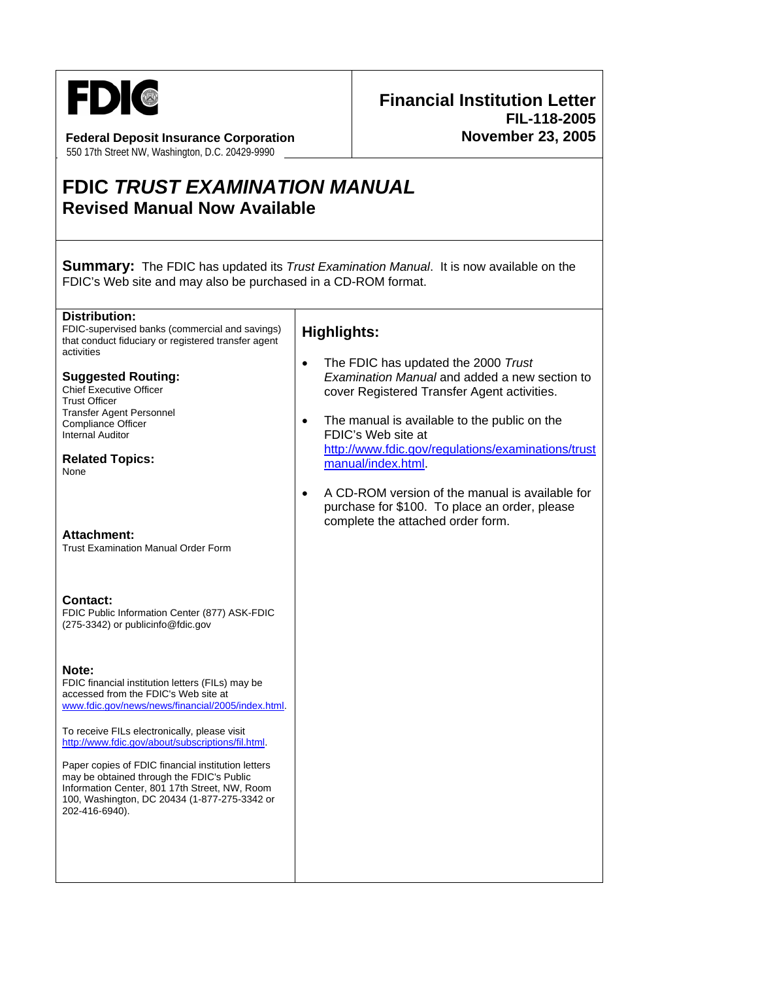

**Federal Deposit Insurance Corporation**  550 17th Street NW, Washington, D.C. 20429-9990

## **Financial Institution Letter FIL-118-2005 November 23, 2005**

# **FDIC** *TRUST EXAMINATION MANUAL*  **Revised Manual Now Available**

**Summary:** The FDIC has updated its *Trust Examination Manual*. It is now available on the FDIC's Web site and may also be purchased in a CD-ROM format.

#### **Distribution:**

FDIC-supervised banks (commercial and savings) that conduct fiduciary or registered transfer agent activities

### **Suggested Routing:**

Chief Executive Officer Trust Officer Transfer Agent Personnel Compliance Officer Internal Auditor

**Related Topics:**  None

#### **Attachment:**

Trust Examination Manual Order Form

#### **Contact:**

FDIC Public Information Center (877) ASK-FDIC (275-3342) or publicinfo@fdic.gov

#### **Note:**

FDIC financial institution letters (FILs) may be accessed from the FDIC's Web site at www.fdic.gov/news/news/financial/2005/index.html.

To receive FILs electronically, please visit http://www.fdic.gov/about/subscriptions/fil.html.

Paper copies of FDIC financial institution letters may be obtained through the FDIC's Public Information Center, 801 17th Street, NW, Room 100, Washington, DC 20434 (1-877-275-3342 or 202-416-6940).

### **Highlights:**

- The FDIC has updated the 2000 *Trust Examination Manual* and added a new section to cover Registered Transfer Agent activities.
- The manual is available to the public on the FDIC's Web site at http://www.fdic.gov/regulations/examinations/trust manual/index.html.
- A CD-ROM version of the manual is available for purchase for \$100. To place an order, please complete the attached order form.